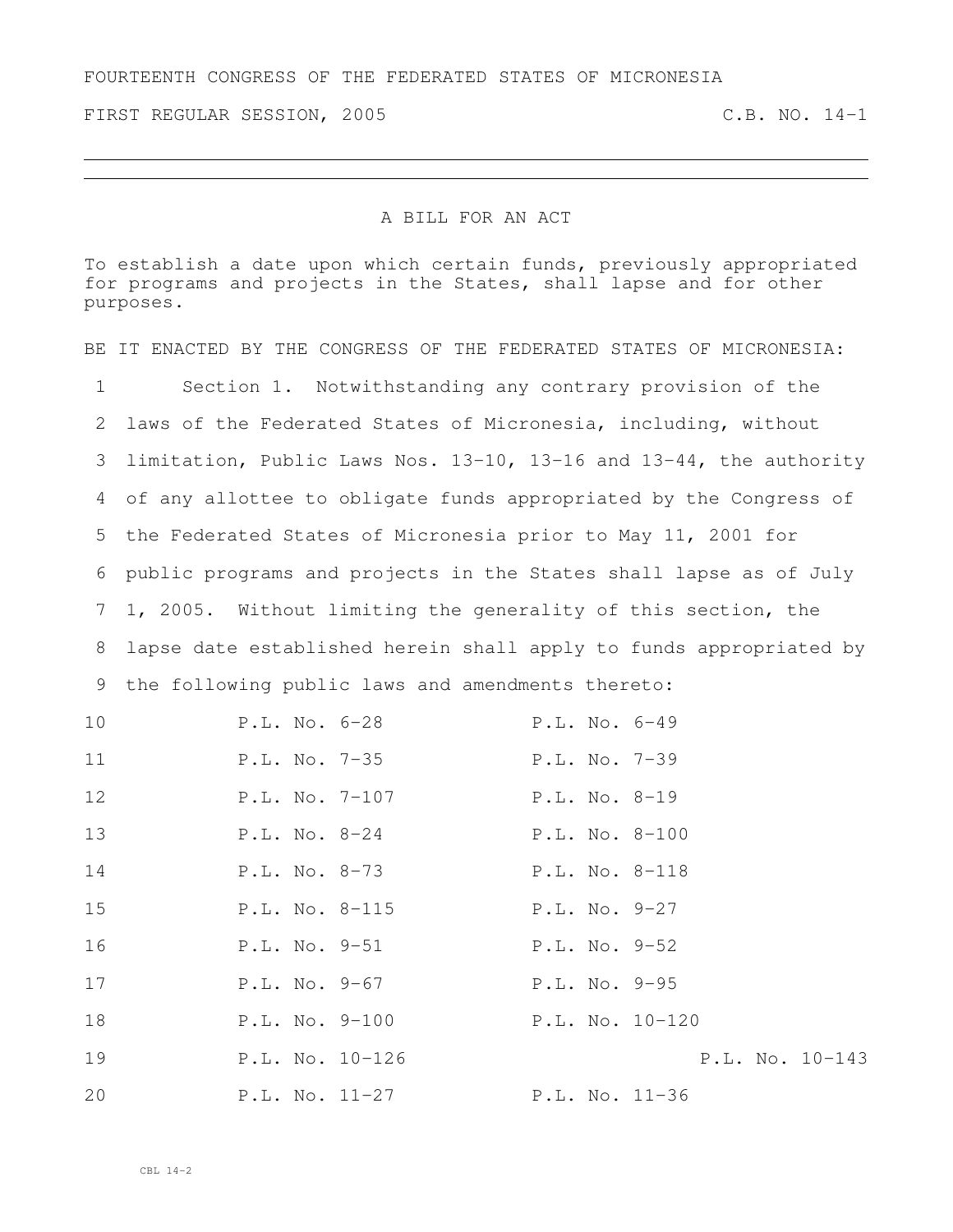FIRST REGULAR SESSION, 2005 C.B. NO. 14-1

## A BILL FOR AN ACT

To establish a date upon which certain funds, previously appropriated for programs and projects in the States, shall lapse and for other purposes.

BE IT ENACTED BY THE CONGRESS OF THE FEDERATED STATES OF MICRONESIA: Section 1. Notwithstanding any contrary provision of the laws of the Federated States of Micronesia, including, without limitation, Public Laws Nos. 13-10, 13-16 and 13-44, the authority of any allottee to obligate funds appropriated by the Congress of the Federated States of Micronesia prior to May 11, 2001 for public programs and projects in the States shall lapse as of July 1, 2005. Without limiting the generality of this section, the lapse date established herein shall apply to funds appropriated by the following public laws and amendments thereto:

| 10 | P.L. No. 6-28   | P.L. No. 6-49    |
|----|-----------------|------------------|
| 11 | P.L. No. 7-35   | $P.L. No. 7-39$  |
| 12 | P.L. No. 7-107  | $P.L. No. 8-19$  |
| 13 | $P.L. No. 8-24$ | $P.L. No. 8-100$ |
| 14 | P.L. No. 8-73   | P.L. No. 8-118   |
| 15 | P.L. No. 8-115  | $P.L. No. 9-27$  |
| 16 | P.L. No. 9-51   | P.L. No. 9-52    |
| 17 | P.L. No. 9-67   | P.L. No. 9-95    |
| 18 | P.L. No. 9-100  | P.L. No. 10-120  |
| 19 | P.L. No. 10-126 | P.L. No. 10-143  |
| 20 | P.L. No. 11-27  | P.L. No. 11-36   |